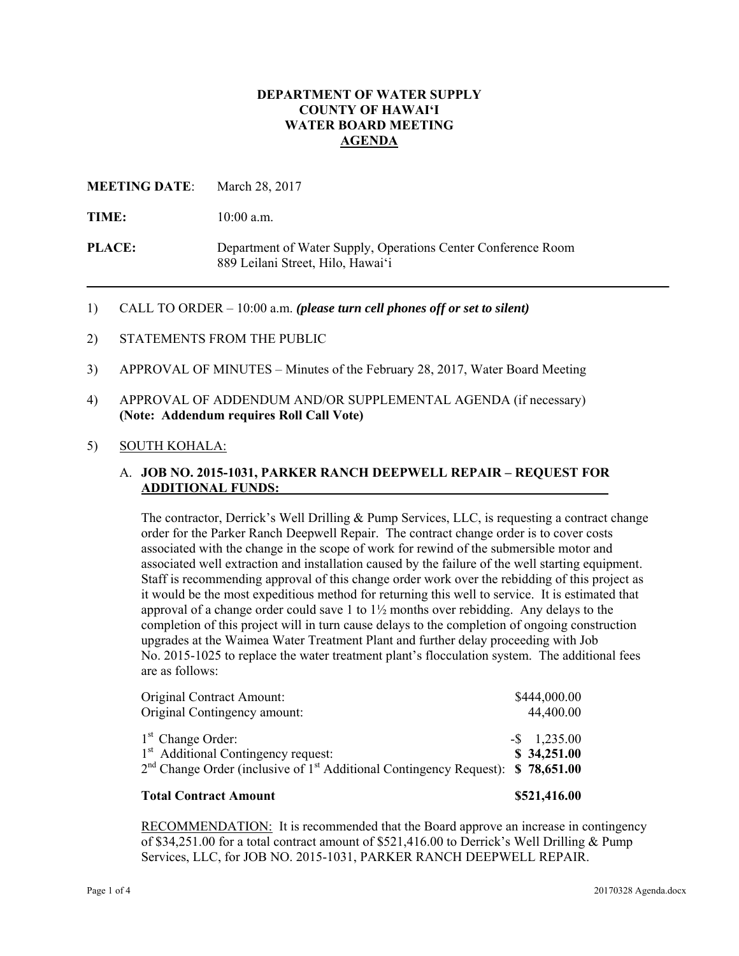### **DEPARTMENT OF WATER SUPPLY COUNTY OF HAWAI'I WATER BOARD MEETING AGENDA**

### **MEETING DATE**: March 28, 2017

TIME:  $10:00$  a.m.

**PLACE:** Department of Water Supply, Operations Center Conference Room 889 Leilani Street, Hilo, Hawai'i

- 1) CALL TO ORDER 10:00 a.m. *(please turn cell phones off or set to silent)*
- 2) STATEMENTS FROM THE PUBLIC
- 3) APPROVAL OF MINUTES Minutes of the February 28, 2017, Water Board Meeting
- 4) APPROVAL OF ADDENDUM AND/OR SUPPLEMENTAL AGENDA (if necessary) **(Note: Addendum requires Roll Call Vote)**

#### 5) SOUTH KOHALA:

### A. **JOB NO. 2015-1031, PARKER RANCH DEEPWELL REPAIR – REQUEST FOR ADDITIONAL FUNDS:**

The contractor, Derrick's Well Drilling & Pump Services, LLC, is requesting a contract change order for the Parker Ranch Deepwell Repair. The contract change order is to cover costs associated with the change in the scope of work for rewind of the submersible motor and associated well extraction and installation caused by the failure of the well starting equipment. Staff is recommending approval of this change order work over the rebidding of this project as it would be the most expeditious method for returning this well to service. It is estimated that approval of a change order could save 1 to  $1\frac{1}{2}$  months over rebidding. Any delays to the completion of this project will in turn cause delays to the completion of ongoing construction upgrades at the Waimea Water Treatment Plant and further delay proceeding with Job No. 2015-1025 to replace the water treatment plant's flocculation system. The additional fees are as follows:

| \$521,416.00                                                                                                                    |
|---------------------------------------------------------------------------------------------------------------------------------|
| $-$ \$ 1,235.00<br>\$34,251.00<br>$2nd$ Change Order (inclusive of 1 <sup>st</sup> Additional Contingency Request): \$78,651.00 |
| \$444,000.00<br>44,400.00                                                                                                       |
|                                                                                                                                 |

**RECOMMENDATION:** It is recommended that the Board approve an increase in contingency of \$34,251.00 for a total contract amount of \$521,416.00 to Derrick's Well Drilling & Pump Services, LLC, for JOB NO. 2015-1031, PARKER RANCH DEEPWELL REPAIR.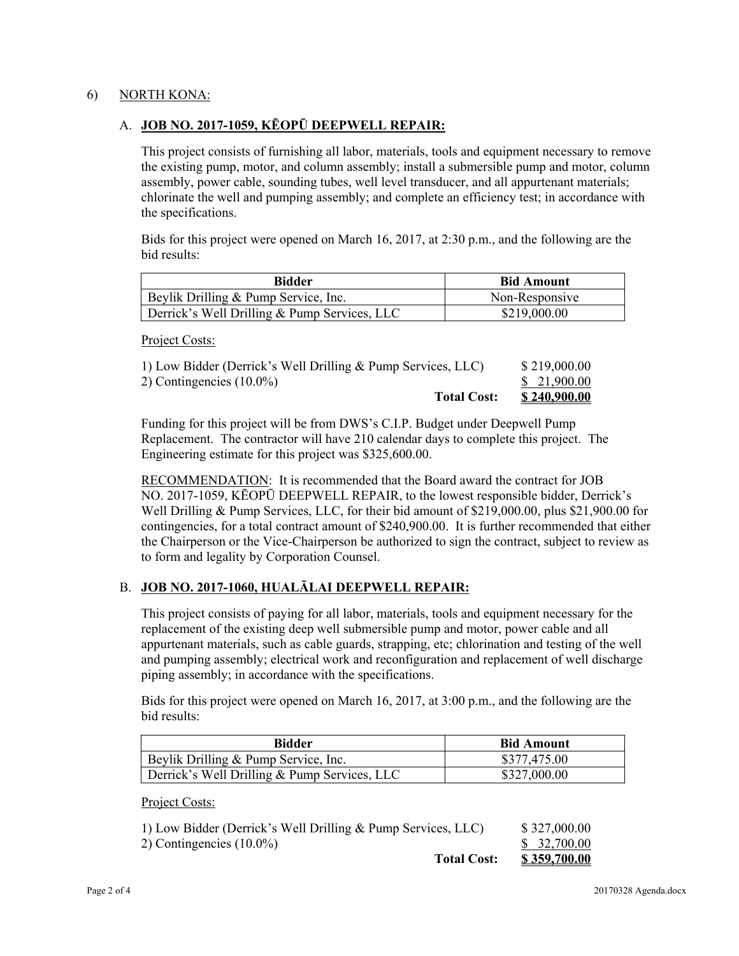### 6) NORTH KONA:

### A. **JOB NO. 2017-1059, KĒOPŪ DEEPWELL REPAIR:**

This project consists of furnishing all labor, materials, tools and equipment necessary to remove the existing pump, motor, and column assembly; install a submersible pump and motor, column assembly, power cable, sounding tubes, well level transducer, and all appurtenant materials; chlorinate the well and pumping assembly; and complete an efficiency test; in accordance with the specifications.

Bids for this project were opened on March 16, 2017, at 2:30 p.m., and the following are the bid results:

| Bidder                                       | <b>Bid Amount</b> |
|----------------------------------------------|-------------------|
| Beylik Drilling & Pump Service, Inc.         | Non-Responsive    |
| Derrick's Well Drilling & Pump Services, LLC | \$219,000.00      |

Project Costs:

| <b>Total Cost:</b>                                           | <u>\$240,900.00</u> |
|--------------------------------------------------------------|---------------------|
| 2) Contingencies $(10.0\%)$                                  | \$21,900.00         |
| 1) Low Bidder (Derrick's Well Drilling & Pump Services, LLC) | \$219,000.00        |

Funding for this project will be from DWS's C.I.P. Budget under Deepwell Pump Replacement. The contractor will have 210 calendar days to complete this project. The Engineering estimate for this project was \$325,600.00.

RECOMMENDATION: It is recommended that the Board award the contract for JOB NO. 2017-1059, KĒOPŪ DEEPWELL REPAIR, to the lowest responsible bidder, Derrick's Well Drilling & Pump Services, LLC, for their bid amount of \$219,000.00, plus \$21,900.00 for contingencies, for a total contract amount of \$240,900.00. It is further recommended that either the Chairperson or the Vice-Chairperson be authorized to sign the contract, subject to review as to form and legality by Corporation Counsel.

# B. **JOB NO. 2017-1060, HUALĀLAI DEEPWELL REPAIR:**

This project consists of paying for all labor, materials, tools and equipment necessary for the replacement of the existing deep well submersible pump and motor, power cable and all appurtenant materials, such as cable guards, strapping, etc; chlorination and testing of the well and pumping assembly; electrical work and reconfiguration and replacement of well discharge piping assembly; in accordance with the specifications.

Bids for this project were opened on March 16, 2017, at 3:00 p.m., and the following are the bid results:

| Bidder                                       | <b>Bid Amount</b> |
|----------------------------------------------|-------------------|
| Beylik Drilling & Pump Service, Inc.         | \$377,475.00      |
| Derrick's Well Drilling & Pump Services, LLC | \$327,000.00      |

Project Costs:

| <b>Total Cost:</b>                                           | \$359,700.00 |
|--------------------------------------------------------------|--------------|
| 2) Contingencies $(10.0\%)$                                  | \$32,700.00  |
| 1) Low Bidder (Derrick's Well Drilling & Pump Services, LLC) | \$327,000.00 |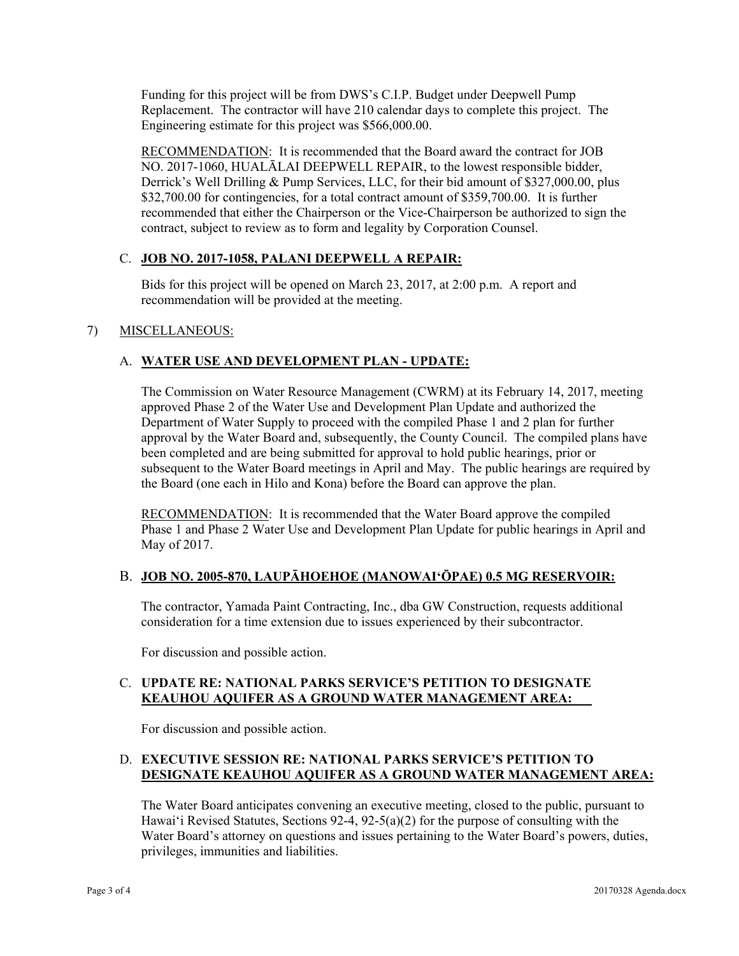Funding for this project will be from DWS's C.I.P. Budget under Deepwell Pump Replacement. The contractor will have 210 calendar days to complete this project. The Engineering estimate for this project was \$566,000.00.

RECOMMENDATION: It is recommended that the Board award the contract for JOB NO. 2017-1060, HUALĀLAI DEEPWELL REPAIR, to the lowest responsible bidder, Derrick's Well Drilling & Pump Services, LLC, for their bid amount of \$327,000.00, plus \$32,700.00 for contingencies, for a total contract amount of \$359,700.00. It is further recommended that either the Chairperson or the Vice-Chairperson be authorized to sign the contract, subject to review as to form and legality by Corporation Counsel.

# C. **JOB NO. 2017-1058, PALANI DEEPWELL A REPAIR:**

Bids for this project will be opened on March 23, 2017, at 2:00 p.m. A report and recommendation will be provided at the meeting.

## 7) MISCELLANEOUS:

## A. **WATER USE AND DEVELOPMENT PLAN - UPDATE:**

The Commission on Water Resource Management (CWRM) at its February 14, 2017, meeting approved Phase 2 of the Water Use and Development Plan Update and authorized the Department of Water Supply to proceed with the compiled Phase 1 and 2 plan for further approval by the Water Board and, subsequently, the County Council. The compiled plans have been completed and are being submitted for approval to hold public hearings, prior or subsequent to the Water Board meetings in April and May. The public hearings are required by the Board (one each in Hilo and Kona) before the Board can approve the plan.

RECOMMENDATION: It is recommended that the Water Board approve the compiled Phase 1 and Phase 2 Water Use and Development Plan Update for public hearings in April and May of 2017.

### B. **JOB NO. 2005-870, LAUPĀHOEHOE (MANOWAI'ŌPAE) 0.5 MG RESERVOIR:**

The contractor, Yamada Paint Contracting, Inc., dba GW Construction, requests additional consideration for a time extension due to issues experienced by their subcontractor.

For discussion and possible action.

### C. **UPDATE RE: NATIONAL PARKS SERVICE'S PETITION TO DESIGNATE KEAUHOU AQUIFER AS A GROUND WATER MANAGEMENT AREA:**

For discussion and possible action.

## D. **EXECUTIVE SESSION RE: NATIONAL PARKS SERVICE'S PETITION TO DESIGNATE KEAUHOU AQUIFER AS A GROUND WATER MANAGEMENT AREA:**

The Water Board anticipates convening an executive meeting, closed to the public, pursuant to Hawai'i Revised Statutes, Sections 92-4, 92-5(a)(2) for the purpose of consulting with the Water Board's attorney on questions and issues pertaining to the Water Board's powers, duties, privileges, immunities and liabilities.